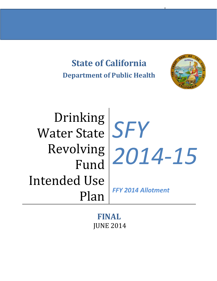**State of California Department of Public Health**



Drinking Water State *SFY* Fund Intended Use Plan

Revolving *2014-15*

*FFY 2014 Allotment*

**FINAL** JUNE 2014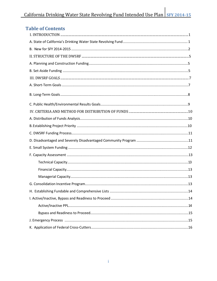| <b>Table of Contents</b>                                                                                                                                                                                                                                                                                                                                                          |  |
|-----------------------------------------------------------------------------------------------------------------------------------------------------------------------------------------------------------------------------------------------------------------------------------------------------------------------------------------------------------------------------------|--|
| $I. INTRODUCTION  \  \,  {\bf 1.1} NTRODUCTION  \  \,  {\bf 1.1} NTRODUCTION  \  \,  {\bf 1.1} NTRODUCTION  \  \,  {\bf 1.1} NTRODUCTION  \  \,  {\bf 1.1} NTRADIV OF  \  \,  {\bf 1.1} NTRADIV OF  \  \,  {\bf 1.1} NTRADIV OF  \  \,  {\bf 1.1} NTRADIV OF  \  \,  {\bf 1.1} NTRADIV OF  \  \,  {\bf 1.1} NTRADIV OF  \  \,  {\bf 1.1} NTRADIV OF  \  \,  {\bf 1.1} NTRADIV OF$ |  |
|                                                                                                                                                                                                                                                                                                                                                                                   |  |
|                                                                                                                                                                                                                                                                                                                                                                                   |  |
|                                                                                                                                                                                                                                                                                                                                                                                   |  |
|                                                                                                                                                                                                                                                                                                                                                                                   |  |
|                                                                                                                                                                                                                                                                                                                                                                                   |  |
|                                                                                                                                                                                                                                                                                                                                                                                   |  |
|                                                                                                                                                                                                                                                                                                                                                                                   |  |
|                                                                                                                                                                                                                                                                                                                                                                                   |  |
|                                                                                                                                                                                                                                                                                                                                                                                   |  |
|                                                                                                                                                                                                                                                                                                                                                                                   |  |
|                                                                                                                                                                                                                                                                                                                                                                                   |  |
|                                                                                                                                                                                                                                                                                                                                                                                   |  |
|                                                                                                                                                                                                                                                                                                                                                                                   |  |
|                                                                                                                                                                                                                                                                                                                                                                                   |  |
|                                                                                                                                                                                                                                                                                                                                                                                   |  |
|                                                                                                                                                                                                                                                                                                                                                                                   |  |
|                                                                                                                                                                                                                                                                                                                                                                                   |  |
|                                                                                                                                                                                                                                                                                                                                                                                   |  |
|                                                                                                                                                                                                                                                                                                                                                                                   |  |
|                                                                                                                                                                                                                                                                                                                                                                                   |  |
|                                                                                                                                                                                                                                                                                                                                                                                   |  |
|                                                                                                                                                                                                                                                                                                                                                                                   |  |
|                                                                                                                                                                                                                                                                                                                                                                                   |  |
|                                                                                                                                                                                                                                                                                                                                                                                   |  |
|                                                                                                                                                                                                                                                                                                                                                                                   |  |
|                                                                                                                                                                                                                                                                                                                                                                                   |  |
|                                                                                                                                                                                                                                                                                                                                                                                   |  |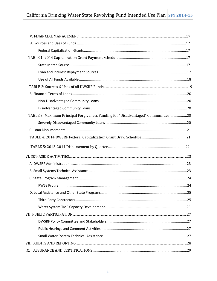| TABLE 3: Maximum Principal Forgiveness Funding for "Disadvantaged" Communities20 |  |
|----------------------------------------------------------------------------------|--|
|                                                                                  |  |
|                                                                                  |  |
|                                                                                  |  |
|                                                                                  |  |
|                                                                                  |  |
|                                                                                  |  |
|                                                                                  |  |
|                                                                                  |  |
|                                                                                  |  |
|                                                                                  |  |
|                                                                                  |  |
|                                                                                  |  |
|                                                                                  |  |
|                                                                                  |  |
|                                                                                  |  |
|                                                                                  |  |
|                                                                                  |  |
|                                                                                  |  |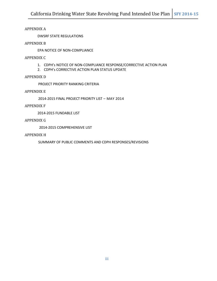#### APPENDIX A

DWSRF STATE REGULATIONS

#### APPENDIX B

EPA NOTICE OF NON-COMPLIANCE

#### APPENDIX C

- 1. CDPH's NOTICE OF NON-COMPLIANCE RESPONSE/CORRECTIVE ACTION PLAN
- 2. CDPH's CORRECTIVE ACTION PLAN STATUS UPDATE

#### APPENDIX D

PROJECT PRIORITY RANKING CRITERIA

#### APPENDIX E

2014-2015 FINAL PROJECT PRIORITY LIST – MAY 2014

#### APPENDIX F

2014-2015 FUNDABLE LIST

#### APPENDIX G

2014-2015 COMPREHENSIVE LIST

#### APPENDIX H

SUMMARY OF PUBLIC COMMENTS AND CDPH RESPONSES/REVISIONS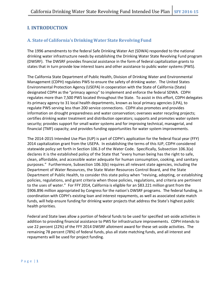# **I. INTRODUCTION**

# **A. State of California's DrinkingWater StateRevolving Fund**

The 1996 amendments to the federal Safe Drinking Water Act (SDWA) responded to the national drinking water infrastructure needs by establishing the Drinking Water State Revolving Fund program (DWSRF). The DWSRF provides financial assistance in the form of federal capitalization grants to states that in turn provide low interest loans and other assistance to public water systems (PWS).

The California State Department of Public Health, Division of Drinking Water and Environmental Management (CDPH) regulates PWS to ensure the safety of drinking water. The United States Environmental Protection Agency (USEPA) in cooperation with the State of California (State) designated CDPH as the "primacy agency" to implement and enforce the federal SDWA. CDPH regulates more than 7,500 PWS located throughout the State. To assist in this effort, CDPH delegates its primacy agency to 31 local health departments, known as local primacy agencies (LPA), to regulate PWS serving less than 200 service connections. CDPH also promotes and provides information on drought preparedness and water conservation; oversees water recycling projects; certifies drinking water treatment and distribution operators; supports and promotes water system security; provides support for small water systems and for improving technical, managerial, and financial (TMF) capacity; and provides funding opportunities for water system improvements.

The 2014-2015 Intended Use Plan (IUP) is part of CDPH's application for the federal fiscal year (FFY) 2014 capitalization grant from the USEPA. In establishing the terms of this IUP, CDPH considered statewide policy set forth in Section 106.3 of the Water Code. Specifically, Subsection 106.3(a) declares it is the established policy of the State that "every human being has the right to safe, clean, affordable, and accessible water adequate for human consumption, cooking, and sanitary purposes." Furthermore, Subsection 106.3(b) requires all relevant state agencies, including the Department of Water Resources, the State Water Resources Control Board, and the State Department of Public Health, to consider this state policy when "revising, adopting, or establishing policies, regulations, and grant criteria when those policies, regulations, and criteria are pertinent to the uses of water." For FFY 2014, California is eligible for an \$83.221 million grant from the \$906.896 million appropriated by Congress for the nation's DWSRF programs. The federal funding, in coordination with CDPH's existing loan and interest repayments, as well as associated state match funds, will help ensure funding for drinking water projects that address the State's highest public health priorities.

Federal and State laws allow a portion of federal funds to be used for specified set-aside activities in addition to providing financial assistance to PWS for infrastructure improvements. CDPH intends to use 22 percent (22%) of the FFY 2014 DWSRF allotment award for these set-aside activities. The remaining 78 percent (78%) of federal funds, plus all state matching funds, and all interest and repayments will be used for project funding.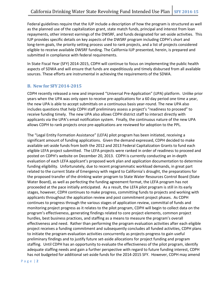Federal guidelines require that the IUP include a description of how the program is structured as well as the planned use of the capitalization grant, state match funds, principal and interest from loan repayments, other interest earnings of the DWSRF, and funds designated for set-aside activities. This IUP provides specific details on key aspects of the DWSRF program including CDPH's short and long-term goals, the priority setting process used to rank projects, and a list of projects considered eligible to receive available DWSRF funding. The California IUP presented, herein, is prepared and submitted in compliance with federal requirements.

In State Fiscal Year (SFY) 2014-2015, CDPH will continue to focus on implementing the public health aspects of SDWA and will ensure that funds are expeditiously and timely disbursed from all available sources. These efforts are instrumental in achieving the requirements of the SDWA.

## **B. New for SFY 2014-2015**

CDPH recently released a new and improved "Universal Pre-Application" (UPA) platform. Unlike prior years when the UPA was only open to receive pre-applications for a 60 day period one time a year, the new UPA is able to accept submittals on a continuous basis year-round. The new UPA also includes questions that help CDPH staff preliminary assess a project's "readiness to proceed" to receive funding timely. The new UPA also allows CDPH district staff to interact directly with applicants via the UPA's email notification system. Finally, the continuous nature of the new UPA allows CDPH to rank projects once pre-applications are reviewed for adoption to the PPL.

The "Legal Entity Formation Assistance" (LEFA) pilot program has been initiated, receiving a significant amount of funding applications. Given the demand expressed, CDPH decided to make available set-aside funds from both the 2012 and 2013 Federal Capitalization Grants to fund each eligible LEFA project submitted. The LEFA projects were ranked in order of readiness to proceed and posted on CDPH's website on December 20, 2013. CDPH is currently conducting an in-depth evaluation of each LEFA applicant's proposed work plan and application documentation to determine funding eligibility. Unfortunately, due to recent programmatic workload demands, in great part related to the current State of Emergency with regard to California's drought, the preparations for the proposed transfer of the drinking water program to State Water Resources Control Board (State Water Board), as well as perfecting the funding agreement format, the LEFA program has not proceeded at the pace initially anticipated. As a result, the LEFA pilot program is still in its early stages, however, CDPH continues to make progress, committing funds to projects and working with applicants throughout the application review and post commitment project phases. As CDPH continues to progress through the various stages of application review, committal of funds and monitoring project progress as it relates to the pilot program, CDPH will begin to collect data on the program's effectiveness, generating findings related to core project elements, common project hurdles, best business practices, and staffing as a means to measure the program's overall effectiveness and need. Rather than performing the program evaluation activities after each eligible project receives a funding commitment and subsequently concludes all funded activities, CDPH plans to initiate the program evaluation activities concurrently as projects progress to gain useful preliminary findings and to justify future set-aside allocations for project funding and program staffing. Until CDPH has an opportunity to evaluate the effectiveness of the pilot program, identify adequate staffing needs and gain a further perspective with regard to future funding interest, CDPH has not budgeted for additional set-aside funds for the 2014-2015 SFY. However, CDPH may amend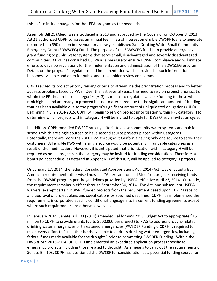this IUP to include budgets for the LEFA program as the need arises.

Assembly Bill 21 (Alejo) was introduced in 2013 and approved by the Governor on October 8, 2013. AB 21 authorized CDPH to assess an annual fee in lieu of interest on eligible DWSRF loans to generate no more than \$50 million in revenue for a newly established Safe Drinking Water Small Community Emergency Grant (SDWSCEG) Fund. The purpose of the SDWSCEG fund is to provide emergency grant funding to public water systems that serve small, disadvantaged and severely disadvantaged communities. CDPH has consulted USEPA as a measure to ensure DWSRF compliance and will initiate efforts to develop regulations for the implementation and administration of the SDWSCEG program. Details on the program's regulations and implementation will be provided as such information becomes available and open for public and stakeholder review and comment.

CDPH revised its project priority ranking criteria to streamline the prioritization process and to better address problems faced by PWS. Over the last several years, the need to rely on project prioritization within the PPL health-based categories (A-G) as means to regulate available funding to those who rank highest and are ready to proceed has not materialized due to the significant amount of funding that has been available due to the program's significant amount of unliquidated obligations (ULO). Beginning in SFY 2014-2015, CDPH will begin to rely on project prioritization within PPL category H to determine which projects within category H will be invited to apply for DWSRF each invitation cycle.

In addition, CDPH modified DWSRF ranking criteria to allow community water systems and public schools which are single sourced to have second source projects placed within Category H. Potentially, there are more than 300 PWS throughout California having only one source to serve their customers. All eligible PWS with a single source would be potentially in fundable categories as a result of the modification. However, it is anticipated that prioritization within category H will be required as not all projects in the category may be invited for funding consideration. Therefore, a bonus point schedule, as detailed in Appendix D of this IUP, will be applied to category H projects.

On January 17, 2014, the federal Consolidated Appropriations Act, 2014 (Act) was enacted a Buy American requirement, otherwise known as "American Iron and Steel" on projects receiving funds from the DWSRF program per the guidelines provided by USEPA, effective April 23, 2014. Currently, the requirement remains in effect through September 30, 2014. The Act, and subsequent USEPA waivers, exempt certain DWSRF funded projects from the requirement based upon CDPH's receipt and approval of project plans and specifications by specified deadlines. CDPH has implemented the requirement, incorporated specific conditional language into its current funding agreements except where such requirements are otherwise waived.

In February 2014, Senate Bill 103 (2014) amended California's 2013 Budget Act to appropriate \$15 million to CDPH to provide grants (up to \$500,000 per project) to PWS to address drought-related drinking water emergencies or threatened emergencies (PWSDER Funding). CDPH is required to make every effort to "use other funds available to address drinking water emergencies, including federal funds made available for the drought," prior to committing PWSDER Funding. Within the DWSRF SFY 2013-2014 IUP, CDPH implemented an expedited application process specific to emergency projects including those related to drought. As a means to carry out the requirements of Senate Bill 103, CDPH has positioned the DWSRF for consideration as a potential funding source for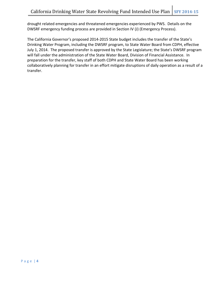drought related emergencies and threatened emergencies experienced by PWS. Details on the DWSRF emergency funding process are provided in Section IV (J) (Emergency Process).

The California Governor's proposed 2014-2015 State budget includes the transfer of the State's Drinking Water Program, including the DWSRF program, to State Water Board from CDPH, effective July 1, 2014. The proposed transfer is approved by the State Legislature; the State's DWSRF program will fall under the administration of the State Water Board, Division of Financial Assistance. In preparation for the transfer, key staff of both CDPH and State Water Board has been working collaboratively planning for transfer in an effort mitigate disruptions of daily operation as a result of a transfer.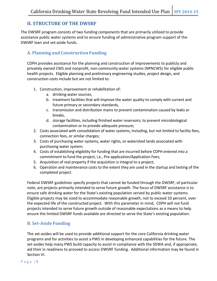# **II. STRUCTURE OF THE DWSRF**

The DWSRF program consists of two funding components that are primarily utilized to provide assistance public water systems and to ensure funding of administrative program support of the DWSRF loan and set-aside funds.

# **A. Planning and Construction Funding**

CDPH provides assistance for the planning and construction of improvements to publicly and privately owned CWS and nonprofit, non-community water systems (NPNCWS) for eligible public health projects. Eligible planning and preliminary engineering studies, project design, and construction costs include but are not limited to:

- 1. Construction, improvement or rehabilitation of:
	- a. drinking water sources,
	- b. treatment facilities that will improve the water quality to comply with current and future primary or secondary standards,
	- c. transmission and distribution mains to prevent contamination caused by leaks or breaks,
	- d. storage facilities, including finished water reservoirs, to prevent microbiological contamination or to provide adequate pressure;
- 2. Costs associated with consolidation of water systems, including, but not limited to facility fees, connection fees, or similar charges;
- 3. Costs of purchasing water systems, water rights, or watershed lands associated with purchasing water system;
- 4. Costs of establishing eligibility for funding that are incurred before CDPH entered into a commitment to fund the project, i.e., Pre-application/Application Fees;
- 5. Acquisition of real property if the acquisition is integral to a project;
- 6. Operation and maintenance costs to the extent they are used in the startup and testing of the completed project.

Federal DWSRF guidelines specify projects that cannot be funded through the DWSRF; of particular note, are projects primarily intended to serve future growth. The focus of DWSRF assistance is to ensure safe drinking water for the State's existing population served by public water systems. Eligible projects may be sized to accommodate reasonable growth, not to exceed 10 percent, over the expected life of the constructed project. With this parameter in mind, CDPH will not fund projects intended to serve future growth outside of reasonable expectations as a means to help ensure the limited DWSRF funds available are directed to serve the State's existing population.

## **B. Set-Aside Funding**

The set-asides will be used to provide additional support for the core California drinking water programs and for activities to assist a PWS in developing enhanced capabilities for the future. The set-asides help many PWS build capacity to assist in compliance with the SDWA and, if appropriate, aid their in readiness to proceed to access DWSRF funding. Additional information may be found in Section VI.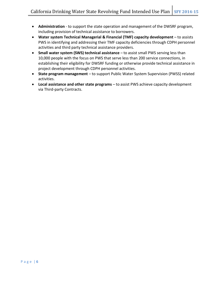- **Administration** to support the state operation and management of the DWSRF program, including provision of technical assistance to borrowers.
- **Water system Technical Managerial & Financial (TMF) capacity development**  to assists PWS in identifying and addressing their TMF capacity deficiencies through CDPH personnel activities and third party technical assistance providers.
- **Small water system (SWS) technical assistance**  to assist small PWS serving less than 10,000 people with the focus on PWS that serve less than 200 service connections, in establishing their eligibility for DWSRF funding or otherwise provide technical assistance in project development through CDPH personnel activities.
- **State program management** to support Public Water System Supervision (PWSS) related activities.
- **Local assistance and other state programs** to assist PWS achieve capacity development via Third-party Contracts.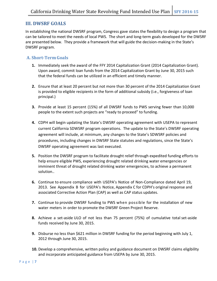# **III. DWSRF GOALS**

In establishing the national DWSRF program, Congress gave states the flexibility to design a program that can be tailored to meet the needs of local PWS. The short and long-term goals developed for the DWSRF are presented below. They provide a framework that will guide the decision-making in the State's DWSRF program.

## **A. Short-TermGoals**

- **1.** Immediately seek the award of the FFY 2014 Capitalization Grant (2014 Capitalization Grant). Upon award, commit loan funds from the 2014 Capitalization Grant by June 30, 2015 such that the federal funds can be utilized in an efficient and timely manner.
- **2.** Ensure that at least 20 percent but not more than 30 percent of the 2014 Capitalization Grant is provided to eligible recipients in the form of additional subsidy (i.e., forgiveness of loan principal.)
- **3.** Provide at least 15 percent (15%) of all DWSRF funds to PWS serving fewer than 10,000 people to the extent such projects are "ready to proceed" to funding.
- **4.** CDPH will begin updating the State's DWSRF operating agreement with USEPA to represent current California SDWSRF program operations. The update to the State's DWSRF operating agreement will include, at minimum, any changes to the State's SDWSRF policies and procedures, including changes in DWSRF State statutes and regulations, since the State's DWSRF operating agreement was last executed.
- **5.** Position the DWSRF program to facilitate drought relief through expedited funding efforts to help ensure eligible PWS, experiencing drought related drinking water emergencies or imminent threat of drought related drinking water emergencies, to achieve a permanent solution..
- **6.** Continue to ensure compliance with USEPA's Notice of Non-Compliance dated April 19, 2013. See Appendix B for USEPA's Notice, Appendix C for CDPH's original response and associated Corrective Action Plan (CAP) as well as CAP status updates.
- **7.** Continue to provide DWSRF funding to PWS when possible for the installation of new water meters in order to promote the DWSRF Green Project Reserve.
- **8.** Achieve a set-aside ULO of not less than 75 percent (75%) of cumulative total set-aside funds received by June 30, 2015.
- **9.** Disburse no less than \$621 million in DWSRF funding for the period beginning with July 1, 2012 through June 30, 2015.
- **10.** Develop a comprehensive, written policy and guidance document on DWSRF claims eligibility and incorporate anticipated guidance from USEPA by June 30, 2015.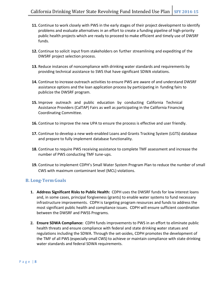- **11.** Continue to work closely with PWS in the early stages of their project development to identify problems and evaluate alternatives in an effort to create a funding pipeline of high-priority public health projects which are ready to proceed to make efficient and timely use of DWSRF funds.
- **12.** Continue to solicit input from stakeholders on further streamlining and expediting of the DWSRF project selection process.
- **13.** Reduce instances of noncompliance with drinking water standards and requirements by providing technical assistance to SWS that have significant SDWA violations.
- **14.** Continue to increase outreach activities to ensure PWS are aware of and understand DWSRF assistance options and the loan application process by participating in funding fairs to publicize the DWSRF program.
- **15.** Improve outreach and public education by conducting California Technical Assistance Providers (CalTAP) Fairs as well as participating in the California Financing Coordinating Committee.
- **16.** Continue to improve the new UPA to ensure the process is effective and user friendly.
- **17.** Continue to develop a new web-enabled Loans and Grants Tracking System (LGTS) database and prepare to fully implement database functionality.
- **18.** Continue to require PWS receiving assistance to complete TMF assessment and increase the number of PWS conducting TMF tune-ups.
- **19.** Continue to implement CDPH's Small Water System Program Plan to reduce the number of small CWS with maximum contaminant level (MCL) violations.

## **B. Long-TermGoals**

- **1. Address Significant Risks to Public Health:** CDPH uses the DWSRF funds for low interest loans and, in some cases, principal forgiveness (grants) to enable water systems to fund necessary infrastructure improvements. CDPH is targeting program resources and funds to address the most significant public health and compliance issues. CDPH will ensure sufficient coordination between the DWSRF and PWSS Programs.
- **2. Ensure SDWA Compliance:** CDPH funds improvements to PWS in an effort to eliminate public health threats and ensure compliance with federal and state drinking water statues and regulations including the SDWA. Through the set-asides, CDPH promotes the development of the TMF of all PWS (especially small CWS) to achieve or maintain compliance with state drinking water standards and federal SDWA requirements.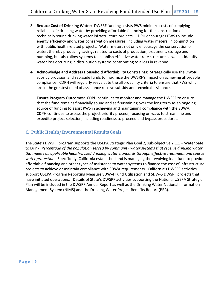- **3. Reduce Cost of Drinking Water**: DWSRF funding assists PWS minimize costs of supplying reliable, safe drinking water by providing affordable financing for the construction of technically sound drinking water infrastructure projects. CDPH encourages PWS to include energy efficiency and water conservation measures, including water meters, in conjunction with public health related projects. Water meters not only encourage the conservation of water, thereby producing savings related to costs of production, treatment, storage and pumping, but also allow systems to establish effective water rate structure as well as identify water loss occurring in distribution systems contributing to a loss in revenue.
- **4. Acknowledge and Address Household Affordability Constraints:** Strategically use the DWSRF subsidy provision and set-aside funds to maximize the DWSRF's impact on achieving affordable compliance. CDPH will regularly reevaluate the affordability criteria to ensure that PWS which are in the greatest need of assistance receive subsidy and technical assistance.
- **5. Ensure Program Outcomes:** CDPH continues to monitor and manage the DWSRF to ensure that the fund remains financially sound and self-sustaining over the long term as an ongoing source of funding to assist PWS in achieving and maintaining compliance with the SDWA. CDPH continues to assess the project priority process, focusing on ways to streamline and expedite project selection, including readiness to proceed and bypass procedures.

# **C. Public Health/Environmental Results Goals**

The State's DWSRF program supports the USEPA Strategic Plan Goal 2, sub-objective 2.1.1 – Water Safe to Drink: *Percentage of the population served by community water systems that receive drinking water that meets all applicable health-based drinking water standards through effective treatment and source water protection*. Specifically, California established and is managing the revolving loan fund to provide affordable financing and other types of assistance to water systems to finance the cost of infrastructure projects to achieve or maintain compliance with SDWA requirements. California's DWSRF activities support USEPA Program Reporting Measure SDW-4 Fund Utilization and SDW-5 DWSRF projects that have initiated operations. Details of State's DWSRF activities supporting the National USEPA Strategic Plan will be included in the DWSRF Annual Report as well as the Drinking Water National Information Management System (NIMS) and the Drinking Water Project Benefits Report (PBR).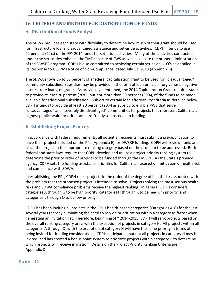# **IV. CRITERIA AND METHOD FOR DISTRIBUTION OF FUNDS**

# **A. Distribution of FundsAnalysis**

The SDWA provides each state with flexibility to determine how much of their grant should be used for infrastructure loans, disadvantaged assistance and set-aside activities. CDPH intends to use 22 percent (22%) of the FFY 2014 funds for set-aside activities. Many of the activities conducted under the set-asides enhance the TMF capacity of SWS as well as ensure the proper administration of the DWSRF program. CDPH is also committed to achieving certain set-aside ULO's as detailed in its Response to USEPA's Notice of Non-Compliance, dated July 12, 2013 (Appendix B).

The SDWA allows up to 30 percent of a federal capitalization grant to be used for "disadvantaged" community subsidies. Subsidies may be provided in the form of loan principal forgiveness, negative interest rate loans, or grants. As previously mentioned, the 2014 Capitalization Grant requires states to provide at least 20 percent (20%), but not more than 30 percent (30%), of the funds to be made available for additional subsidization. Subject to certain loan affordability criteria as detailed below, CDPH intends to provide at least 20 percent (20%) as subsidy to eligible PWS that serve "disadvantaged" and "severely disadvantaged" communities for projects that represent California's highest public health priorities and are "ready to proceed" to funding.

# **B.EstablishingProject Priority**

In accordance with federal requirements, all potential recipients must submit a pre-application to have their project included on the PPL (Appendix E) for DWSRF funding. CDPH will review, rank, and place the project in the appropriate ranking category based on the problem to be addressed. Both federal and state laws require that CDPH develop and utilize a project priority ranking system to determine the priority order of projects to be funded through the DWSRF. As the State's primacy agency, CDPH sets the funding assistance priorities for California, focused on mitigation of health risk and compliance with SDWA.

In establishing the PPL, CDPH ranks projects in the order of the degree of health risk associated with the problem that the proposed project is intended to solve. Projects solving the most serious health risks and SDWA compliance problems receive the highest ranking. In general, CDPH considers categories A through G to be high priority, categories H through K to be medium priority, and categories L through O to be low priority.

CDPH has been inviting all projects in the PPL's health-based categories (Categories A-G) for the last several years thereby eliminating the need to rely on prioritization within a category as factor when generating an invitation list. Therefore, beginning SFY 2014-2015, CDPH will rank projects based on the overall ranking category only, with the exception of projects in category H. All projects within all categories A through O, with the exception of category H will have the same priority in terms of being invited for funding consideration. CDPH anticipates that not all projects in category H may be invited, and has created a bonus point system to prioritize projects within category H to determine which projects will receive invitation. Details on the Project Priority Ranking Criteria are in Appendix D.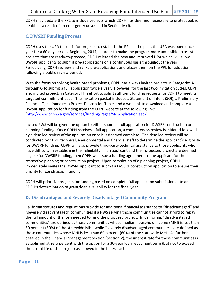CDPH may update the PPL to include projects which CDPH has deemed necessary to protect public health as a result of an emergency described in Section IV (J).

# **C. DWSRF Funding Process**

CDPH uses the UPA to solicit for projects to establish the PPL. In the past, the UPA was open once a year for a 60 day period. Beginning 2014, in order to make the program more accessible to assist projects that are ready-to-proceed, CDPH released the new and improved UPA which will allow DWSRF applicants to submit pre-applications on a continuous basis throughout the year. Periodically, CDPH reviews and ranks pre-applications and places them on the PPL for adoption following a public review period.

With the focus on solving health based problems, CDPH has always invited projects in Categories A through G to submit a full application twice a year. However, for the last two invitation cycles, CDPH also invited projects in Category H in effort to solicit sufficient funding requests for CDPH to meet its targeted commitment pace. The invitation packet includes a Statement of Intent (SOI), a Preliminary Financial Questionnaire, a Project Description Table, and a web-link to download and complete a DWSRF application for funding from the CDPH website at the following link: [\(http://www.cdph.ca.gov/services/funding/Pages/SRFApplication.aspx\)](http://www.cdph.ca.gov/services/funding/Pages/SRFApplication.aspx).

Invited PWS will be given the option to either submit a full application for DWSRF construction or planning funding. Once CDPH receives a full application, a completeness review is initiated followed by a detailed review of the application once it is deemed complete. The detailed review will be conducted by CDPH technical, environmental and financial staff to determine the applicant's eligibility for DWSRF funding. CDPH will also provide third-party technical assistance to those applicants who have difficulty in establishing their eligibility. If an applicant and their proposed project are deemed eligible for DWSRF funding, then CDPH will issue a funding agreement to the applicant for the respective planning or construction project. Upon completion of a planning project, CDPH immediately invites the DWSRF applicant to submit a DWSRF construction application to ensure their priority for construction funding.

CDPH will prioritize projects for funding based on complete full application submission date and CDPH's determination of grant/loan availability for the fiscal year.

# **D. Disadvantaged and Severely Disadvantaged Community Program**

California statutes and regulations provide for additional financial assistance to "disadvantaged" and "severely disadvantaged" communities if a PWS serving those communities cannot afford to repay the full amount of the loan needed to fund the proposed project. In California, "disadvantaged communities" are defined as those communities whose median household income (MHI) is less than 80 percent (80%) of the statewide MHI, while "severely disadvantaged communities" are defined as those communities whose MHI is less than 60 percent (60%) of the statewide MHI. As further detailed in the Financial Management Section (Section V), the interest rate for these communities is established at zero percent with the option for a 30-year loan repayment term (but not to exceed the useful life of the project) as allowed in the federal act.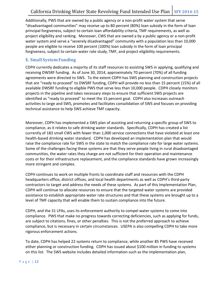Additionally, PWS that are owned by a public agency or a non-profit water system that serve "disadvantaged communities" may receive up to 80 percent (80%) loan subsidy in the form of loan principal forgiveness, subject to certain loan affordability criteria, TMF requirements, as well as project eligibility and ranking. Moreover, CWS that are owned a by a public agency or a non-profit water system and serve a "severely disadvantaged" community with a population less than 10,000 people are eligible to receive 100 percent (100%) loan subsidy in the form of loan principal forgiveness, subject to certain water rate study, TMF, and project eligibility requirements.

### **E. Small SystemFunding**

CDPH currently dedicates a majority of its staff resources to assisting SWS in applying, qualifying and receiving DWSRF funding. As of June 30, 2014, approximately 70 percent (70%) of all funding agreements were directed to SWS. To the extent CDPH has SWS planning and construction projects that are "ready to proceed" to DWSRF funding, CDPH will provide no less than 15 percent (15%) of all available DWSRF funding to eligible PWS that serve less than 10,000 people. CDPH closely monitors projects in the pipeline and takes necessary steps to ensure that sufficient SWS projects are identified as "ready to proceed" to meet the 15 percent goal. CDPH also increases outreach activities to large and SWS, promotes and facilitates consolidation of SWS and focuses on providing technical assistance to help SWS achieve TMF capacity.

Moreover, CDPH has implemented a SWS plan of assisting and returning a specific group of SWS to compliance, as it relates to safe drinking water standards. Specifically, CDPH has created a list currently of 183 small CWS with fewer than 1,000 service connections that have violated at least one health-based drinking water standard. CDPH has developed an implementation plan that would raise the compliance rate for SWS in the state to match the compliance rate for large water systems. Some of the challenges facing these systems are that they serve people living in rural disadvantaged communities, the water rates they charge are not sufficient for their operation and maintenance costs or for their infrastructure replacement, and the compliance standards have grown increasingly more stringent and complex.

CDPH continues to work on multiple fronts to coordinate staff and resources with the CDPH headquarters office, district offices, and local health departments as well as CDPH's third-party contractors to target and address the needs of these systems. As part of this Implementation Plan, CDPH will continue to allocate resources to ensure that the targeted water systems are provided assistance to establish appropriate water rate structures and that these systems are brought up to a level of TMF capacity that will enable them to sustain compliance into the future.

CDPH, and the 31 LPAs, uses its enforcement authority to compel water systems to come into compliance. PWS that make no progress towards correcting deficiencies, such as applying for funds, are subject to citations, fines, or other penalties. This is not the preferred approach to achieve compliance, but is necessary in certain circumstances. USEPA is also compelling CDPH to take more rigorous enforcement actions.

To date, CDPH has helped 22 systems return to compliance, while another 85 PWS have received either planning or construction funding. CDPH has issued about \$100 million in funding to systems on this list. The SWS website includes detailed information such as the implementation plan,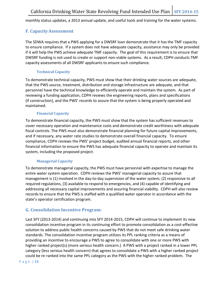monthly status updates, a 2013 annual update, and useful tools and training for the water systems.

### **F. CapacityAssessment**

The SDWA requires that a PWS applying for a DWSRF loan demonstrate that it has the TMF capacity to ensure compliance. If a system does not have adequate capacity, assistance may only be provided if it will help the PWS achieve adequate TMF capacity. The goal of this requirement is to ensure that DWSRF funding is not used to create or support non-viable systems. As a result, CDPH conducts TMF capacity assessments of all DWSRF applicants to ensure such compliance.

#### **Technical Capacity**

To demonstrate technical capacity, PWS must show that their drinking water sources are adequate, that the PWS source, treatment, distribution and storage infrastructure are adequate, and that personnel have the technical knowledge to efficiently operate and maintain the system. As part of reviewing a funding application, CDPH reviews the engineering reports, plans and specifications (if construction), and the PWS' records to assure that the system is being properly operated and maintained.

#### **Financial Capacity**

To demonstrate financial capacity, the PWS must show that the system has sufficient revenues to cover necessary operation and maintenance costs and demonstrate credit worthiness with adequate fiscal controls. The PWS must also demonstrate financial planning for future capital improvements, and if necessary, any water rate studies to demonstrate overall financial capacity. To ensure compliance, CDPH reviews the PWS' project budget, audited annual financial reports, and other financial information to ensure the PWS has adequate financial capacity to operate and maintain its system, including the proposed project.

#### **Managerial Capacity**

To demonstrate managerial capacity, the PWS must have personnel with expertise to manage the entire water system operation. CDPH reviews the PWS' managerial capacity to assure that management is (1) involved in the day-to-day supervision of the water system, (2) responsive to all required regulations, (3) available to respond to emergencies, and (4) capable of identifying and addressing all necessary capital improvements and assuring financial viability. CDPH will also review records to ensure that the PWS is staffed with a qualified water operator in accordance with the state's operator certification program.

### **G. Consolidation Incentive Program:**

Last SFY (2013-2014) and continuing into SFY 2014-2015, CDPH will continue to implement its new consolidation incentive program in its continuing effort to promote consolidation as a cost-effective solution to address public health concerns caused by PWS that do not meet safe drinking water standards. The consolidation incentive program utilizes its PPL ranking criteria as a means of providing an incentive to encourage a PWS to agree to consolidate with one or more PWS with higher ranked project(s) (more serious health concern.) A PWS with a project ranked in a lower PPL category (less serious health concern) that agrees to consolidate a PWS with a higher ranked project could be re-ranked into the same PPL category as the PWS with the higher ranked problem. The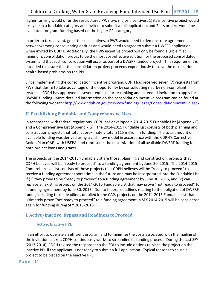higher ranking would offer the restructured PWS two major incentives: 1) its incentive project would likely be in a fundable category and invited to submit a full application, and 2) its project would be evaluated for grant funding based on the higher PPL category.

In order to take advantage of these incentives, a PWS would need to demonstrate agreement between/among consolidating entities and would need to agree to submit a DWSRF application when invited by CDPH. Additionally, the PWS incentive project will only be found eligible if, at minimum, consolidation proves to be the most cost-effective solution for the proposed consolidated system and that such consolidation will occur as part of a DWSRF funded project. This requirement is intended to assure that the consolidation project proceeds expeditiously to solve the most serious health-based problems on the PPL.

Since implementing the consolidation incentive program, CDPH has received seven (7) requests from PWS that desire to take advantage of the opportunity by consolidating nearby non-compliant systems. CDPH has approved all seven requests for re-ranking and extended invitation to apply for DWSRF funding. More detailed information on the consolidation incentive program can be found at the following website: [http://www.cdph.ca.gov/services/funding/Pages/ConsolidationIncentive.aspx.](http://www.cdph.ca.gov/services/funding/Pages/ConsolidationIncentive.aspx)

# **H. Establishing Fundable and Comprehensive Lists**

In accordance with federal regulations, CDPH has developed a 2014-2015 Fundable List (Appendix F) and a Comprehensive List (Appendix G). The 2014-2015 Fundable List consists of both planning and construction projects that total approximately total \$115 million in funding. The total amount of available funding was derived using a cash flow model in accordance with the CDPH's Corrective Action Plan (CAP) with USEPA, and represents the maximization of all available DWSRF funding for both project loans and grants.

The projects on the 2014-2015 Fundable List are those, planning and construction, projects that CDPH believes will be "ready to proceed" to a funding agreement by June 30, 2015. The 2014-2015 Comprehensive List consists of those projects that CDPH believes will be "ready to proceed" to receive a funding agreement sometime in the future and may be incorporated into the Fundable List if (1) they prove to be "ready to proceed" to a funding agreement by June 30, 2015, and (2) can replace an existing project on the 2014-2015 Fundable List that may prove "not ready to proceed" to a funding agreement by June 30, 2015. Due to federal deadlines relating to the obligation of DWSRF funds, including those deadlines detailed in the CAP, projects on the 2014-2015 Fundable List that ultimately prove "not ready to proceed" to a funding agreement in SFY 2014-2015 will be considered again for funding during SFY 2015-2016.

## **I. Active/Inactive, Bypass and Readiness to Proceed**

### **Active/Inactive PPL**

In an effort to operate an efficient program and to minimize the costs associated with the mailing of the invitation packet, CDPH continuously works to streamline its funding process. During the last SFY (2013-2014), CDPH revised the responses to the SOI to include options to place the project on the Inactive PPL if the applicant is not ready to submit a full application. Typical reasons to cause a project to be placed on the Inactive PPL: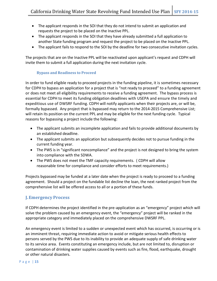- The applicant responds in the SOI that they do not intend to submit an application and requests the project to be placed on the Inactive PPL.
- The applicant responds in the SOI that they have already submitted a full application to another State funding program and request the project to be placed on the Inactive PPL.
- The applicant fails to respond to the SOI by the deadline for two consecutive invitation cycles.

The projects that are on the Inactive PPL will be reactivated upon applicant's request and CDPH will invite them to submit a full application during the next invitation cycle.

#### **Bypass and Readiness to Proceed**

In order to fund eligible ready to proceed projects in the funding pipeline, it is sometimes necessary for CDPH to bypass an application for a project that is "not ready to proceed" to a funding agreement or does not meet all eligibility requirements to receive a funding agreement. The bypass process is essential for CDPH to meet its funding obligation deadlines with USEPA and ensure the timely and expeditious use of DWSRF funding. CDPH will notify applicants when their projects are, or will be, formally bypassed. Any project that is bypassed may return to the 2014-2015 Comprehensive List; will retain its position on the current PPL and may be eligible for the next funding cycle. Typical reasons for bypassing a project include the following:

- The applicant submits an incomplete application and fails to provide additional documents by an established deadline.
- The applicant submits an application but subsequently decides not to pursue funding in the current funding year.
- The PWS is in "significant noncompliance" and the project is not designed to bring the system into compliance with the SDWA.
- The PWS does not meet the TMF capacity requirements. ( CDPH will allow reasonable time for compliance and consider efforts to meet requirements.)

Projects bypassed may be funded at a later date when the project is ready to proceed to a funding agreement. Should a project on the fundable list decline the loan, the next ranked project from the comprehensive list will be offered access to all or a portion of these funds.

# **J.Emergency Process**

If CDPH determines the project identified in the pre-application as an "emergency" project which will solve the problem caused by an emergency event, the "emergency" project will be ranked in the appropriate category and immediately placed on the comprehensive DWSRF PPL.

An emergency event is limited to a sudden or unexpected event which has occurred, is occurring or is an imminent threat, requiring immediate action to avoid or mitigate serious health effects to persons served by the PWS due to its inability to provide an adequate supply of safe drinking water to its service area. Events constituting an emergency include, but are not limited to, disruption or contamination of drinking water supplies caused by events such as fire, flood, earthquake, drought or other natural disasters.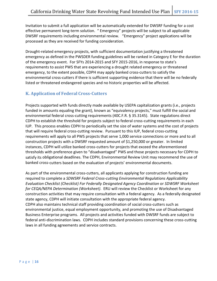Invitation to submit a full application will be automatically extended for DWSRF funding for a cost effective permanent long-term solution. " Emergency" projects will be subject to all applicable DWSRF requirements including environmental review. "Emergency" project applications will be processed as they are received for funding consideration.

Drought-related emergency projects, with sufficient documentation justifying a threatened emergency as defined in the PWSDER funding guidelines will be ranked in Category E for the duration of the emergency event. For SFYs 2014-2015 and SFY 2015-2016, in response to state's requirements to assist PWS that are experiencing a drought related emergency or threatened emergency, to the extent possible, CDPH may apply banked cross-cutters to satisfy the environmental cross-cutters if there is sufficient supporting evidence that there will be no federally listed or threatened endangered species and no historic properties will be affected.

## **K. Application of Federal Cross-Cutters**

Projects supported with funds directly made available by USEPA capitalization grants (i.e., projects funded in amounts equaling the grant), known as "equivalency projects," must fulfill the social and environmental federal cross-cutting requirements (40C.F.R. § 35.3145). State regulations direct CDPH to establish the threshold for projects subject to federal cross-cutting requirements in each IUP. This process enables CDPH to periodically set the size of water systems and the cost of projects that will require federal cross-cutting review. Pursuant to this IUP, federal cross-cutting requirements will apply to all PWS projects that serve 1,000 service connections or more and to all construction projects with a DWSRF requested amount of \$1,250,000 or greater. In limited instances, CDPH will utilize banked cross-cutters for projects that exceed the aforementioned thresholds with preference given to "disadvantaged" PWS and those projects necessary for CDPH to satisfy its obligational deadlines. The CDPH, Environmental Review Unit may recommend the use of banked cross-cutters based on the evaluation of projects' environmental documents.

As part of the environmental cross-cutters, all applicants applying for construction funding are required to complete a *SDWSRF Federal Cross-cutting Environmental Regulations Applicability Evaluation Checklist (Checklist) For Federally Designated Agency Coordination* or *SDWSRF Worksheet for CEQA/NEPA Determination (Worksheet)*. ERU will review the Checklist or Worksheet for any construction activities that may require consultation with a federal agency. As a federally designated state agency, CDPH will initiate consultation with the appropriate federal agency. CDPH also maintains technical staff providing coordination of social cross-cutters such as environmental justice, equal employment opportunity, and promoting the use of Disadvantaged Business Enterprise programs. All projects and activities funded with DWSRF funds are subject to federal anti-discrimination laws. CDPH includes standard provisions concerning these cross-cutting laws in all funding agreements and service contracts.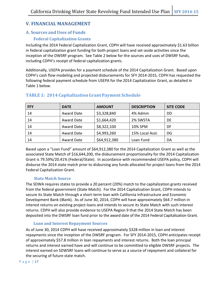# **V. FINANCIAL MANAGEMENT**

# **A. Sources andUses of Funds**

## **Federal Capitalization Grants**

Including the 2014 Federal Capitalization Grant, CDPH will have received approximately \$1.63 billion in federal capitalization grant funding for both project loans and set-aside activities since the inception of the DWSRF program. See Table 2 below for the sources and uses of DWSRF funds, including CDPH's receipt of federal capitalization grants.

Additionally, USEPA provides for a payment schedule of the 2014 Capitalization Grant. Based upon CDPH's cash flow modeling and projected disbursements for SFY 2014-2015, CDPH has requested the following federal payment schedule from USEPA for the 2014 Capitalization Grant, as detailed in Table 1 below.

| <b>FFY</b> | <b>DATE</b> | <b>AMOUNT</b> | <b>DESCRIPTION</b> | <b>SITE CODE</b> |
|------------|-------------|---------------|--------------------|------------------|
| 14         | Award Date  | \$3,328,840   | 4% Admin           | DD               |
| 14         | Award Date  | \$1,664,420   | 2% SWSTA           | DE               |
| 14         | Award Date  | \$8,322,100   | 10% SPM            | DF               |
| 14         | Award Date  | \$4,993,260   | 15% Local Asst.    | DG               |
| 14         | Award Date  | \$64,912,380  | Loan Fund          | DA               |

## **TABLE 1: 2014 CapitalizationGrant Payment Schedule**

Based upon a "Loan Fund" amount of \$64,912,380 for the 2014 Capitalization Grant as well as the associated State Match of \$16,644,200, the disbursement proportionality for the 2014 Capitalization Grant is 79.59%/20.41% (Federal/State). In accordance with recommended USEPA policy, CDPH will disburse the 2014 state match prior to disbursing any funds allocated for project loans from the 2014 Federal Capitalization Grant.

### **State Match Source**

The SDWA requires states to provide a 20 percent (20%) match to the capitalization grants received from the federal government (State Match). For the 2014 Capitalization Grant, CDPH intends to secure its State Match through a short-term loan with California Infrastructure and Economic Development Bank (iBank). As of June 30, 2014, CDPH will have approximately \$64.7 million in interest returns on existing project loans and intends to secure its State Match with such interest returns. CDPH will also provide evidence to USEPA Region 9 that the 2014 State Match has been deposited into the DWSRF loan fund prior to the award date of the 2014 Federal Capitalization Grant.

### **Loan and Interest Repayment Sources**

As of June 30, 2014 CDPH will have received approximately \$328 million in loan and interest repayments since the inception of the DWSRF program. For SFY 2014-2015, CDPH anticipates receipt of approximately \$57.8 million in loan repayments and interest returns. Both the loan principal returns and interest earned have and will continue to be committed to eligible DWSRF projects. The interest earned on SDWSRF loans will continue to serve as a source of repayment and collateral for the securing of future state match.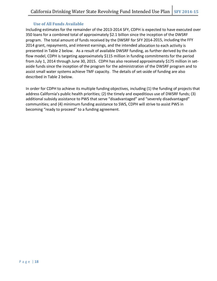#### **Use of All Funds Available**

Including estimates for the remainder of the 2013-2014 SFY, CDPH is expected to have executed over 350 loans for a combined total of approximately \$2.1 billion since the inception of the DWSRF program. The total amount of funds received by the DWSRF for SFY 2014-2015, including the FFY 2014 grant, repayments, and interest earnings, and the intended allocation to each activity is presented in Table 2 below. As a result of available DWSRF funding, as further derived by the cash flow model, CDPH is targeting approximately \$115 million in funding commitments for the period from July 1, 2014 through June 30, 2015. CDPH has also received approximately \$175 million in setaside funds since the inception of the program for the administration of the DWSRF program and to assist small water systems achieve TMF capacity. The details of set-aside of funding are also described in Table 2 below.

In order for CDPH to achieve its multiple funding objectives, including (1) the funding of projects that address California's public health priorities; (2) the timely and expeditious use of DWSRF funds; (3) additional subsidy assistance to PWS that serve "disadvantaged" and "severely disadvantaged" communities; and (4) minimum funding assistance to SWS, CDPH will strive to assist PWS in becoming "ready to proceed" to a funding agreement.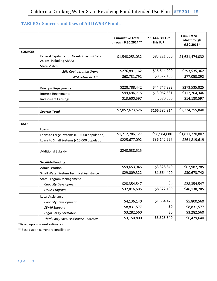# **TABLE 2: Sources and Uses of All DWSRF Funds**

|                |                                                                        | <b>Cumulative Total</b><br>through 6.30.2014** | $7.1.14 - 6.30.15*$<br>(This IUP) | <b>Cumulative</b><br><b>Total through</b><br>6.30.2015* |
|----------------|------------------------------------------------------------------------|------------------------------------------------|-----------------------------------|---------------------------------------------------------|
| <b>SOURCES</b> |                                                                        |                                                |                                   |                                                         |
|                | Federal Capitalization Grants (Loans + Set-<br>Asides, including ARRA) | \$1,548,253,032                                | \$83,221,000                      | \$1,631,474,032                                         |
|                | <b>State Match</b>                                                     |                                                |                                   |                                                         |
|                | 20% Capitalization Grant                                               | \$276,891,162                                  | \$16,644,200                      | \$293,535,362                                           |
|                | SPM Set-aside 1:1                                                      | \$68,731,792                                   | \$8,322,100                       | \$77,053,892                                            |
|                |                                                                        |                                                |                                   |                                                         |
|                | <b>Principal Repayments</b>                                            | \$228,788,442                                  | \$44,747,383                      | \$273,535,825                                           |
|                | <b>Interest Repayments</b>                                             | \$99,696,715                                   | \$13,067,631                      | \$112,764,346                                           |
|                | <b>Investment Earnings</b>                                             | \$13,600,597                                   | \$580,000                         | \$14,180,597                                            |
|                |                                                                        |                                                |                                   |                                                         |
|                | <b>Sources Total</b>                                                   | \$2,057,673,526                                | \$166,582,314                     | \$2,224,255,840                                         |
|                |                                                                        |                                                |                                   |                                                         |
| <b>USES</b>    |                                                                        |                                                |                                   |                                                         |
|                | Loans                                                                  |                                                |                                   |                                                         |
|                | Loans to Large Systems (>10,000 population)                            | \$1,712,786,127                                | \$98,984,680                      | \$1,811,770,807                                         |
|                | Loans to Small Systems (<10,000 population)                            | \$225,677,092                                  | \$36,142,527                      | \$261,819,619                                           |
|                |                                                                        |                                                |                                   |                                                         |
|                | <b>Additional Subsidy</b>                                              | \$240,538,515                                  |                                   |                                                         |
|                |                                                                        |                                                |                                   |                                                         |
|                | <b>Set-Aide Funding</b>                                                |                                                |                                   |                                                         |
|                | Administration                                                         | \$59,653,945                                   | \$3,328,840                       | \$62,982,785                                            |
|                | Small Water System Technical Assistance                                | \$29,009,322                                   | \$1,664,420                       | \$30,673,742                                            |
|                | <b>State Program Management</b>                                        |                                                |                                   |                                                         |
|                | Capacity Development                                                   | \$28,354,547                                   | \$0                               | \$28,354,547                                            |
|                | <b>PWSS Program</b>                                                    | \$37,816,685                                   | \$8,322,100                       | \$46,138,785                                            |
|                | Local Assistance                                                       |                                                |                                   |                                                         |
|                | Capacity Development                                                   | \$4,136,140                                    | \$1,664,420                       | \$5,800,560                                             |
|                | <b>SWAP Support</b>                                                    | \$8,831,577                                    | \$0                               | \$8,831,577                                             |
|                | <b>Legal Entity Formation</b>                                          | \$3,282,560                                    | \$0                               | \$3,282,560                                             |
|                | Third Party Local Assistance Contracts                                 | \$3,150,800                                    | \$3,328,840                       | \$6,479,640                                             |

\*Based upon current estimates

\*\*Based upon current reconciliation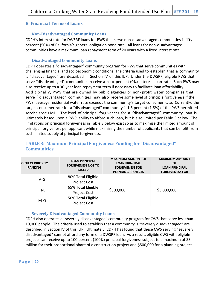## **B. Financial Terms of Loans**

### **Non-Disadvantaged Community Loans**

CDPH's interest rate for DWSRF loans for PWS that serve non-disadvantaged communities is fifty percent (50%) of California's general obligation bond rate. All loans for non-disadvantaged communities have a maximum loan repayment term of 20 years with a fixed interest rate.

#### **Disadvantaged Community Loans**

CDPH operates a "disadvantaged" community program for PWS that serve communities with challenging financial and socioeconomic conditions. The criteria used to establish that a community is "disadvantaged" are described in Section IV of this IUP. Under the DWSRF, eligible PWS that serve "disadvantaged" communities receive a zero percent (0%) interest loan rate. Such PWS may also receive up to a 30-year loan repayment term if necessary to facilitate loan affordability. Additionally, PWS that are owned by public agencies or non- profit water companies that serve " disadvantaged" communities may also receive some level of principle forgiveness if the PWS' average residential water rate exceeds the community's target consumer rate. Currently, the target consumer rate for a "disadvantaged" community is 1.5 percent (1.5%) of the PWS permitted service area's MHI. The level of principal forgiveness for a "disadvantaged" community loan is ultimately based upon a PWS' ability to afford such loan, but is also limited per Table 3 below. The limitations on principal forgiveness in Table 3 below exist so as to maximize the limited amount of principal forgiveness per applicant while maximizing the number of applicants that can benefit from such limited supply of principal forgiveness.

# **TABLE 3: Maximum Principal Forgiveness Funding for "Disadvantaged" Communities**

| <b>PROJECT PRIORITY</b><br><b>RANKING</b> | <b>LOAN PRINCIPAL</b><br><b>FORGIVENESS NOT TO</b><br><b>EXCEED</b> | <b>MAXIMUM AMOUNT OF</b><br><b>LOAN PRINCIPAL</b><br><b>FORGIVENESS FOR</b><br><b>PLANNING PROJECTS</b> | <b>MAXIMUM AMOUNT</b><br><b>OF</b><br><b>LOAN PRINCIPAL</b><br><b>FORGIVENESS FOR</b> |  |
|-------------------------------------------|---------------------------------------------------------------------|---------------------------------------------------------------------------------------------------------|---------------------------------------------------------------------------------------|--|
| $A-G$                                     | 80% Total Eligible<br><b>Project Cost</b>                           |                                                                                                         |                                                                                       |  |
| $H-L$                                     | 65% Total Eligible                                                  | \$500,000                                                                                               | \$3,000,000                                                                           |  |
|                                           | <b>Project Cost</b>                                                 |                                                                                                         |                                                                                       |  |
| $M-O$                                     | 50% Total Eligible                                                  |                                                                                                         |                                                                                       |  |
|                                           | <b>Project Cost</b>                                                 |                                                                                                         |                                                                                       |  |

### **Severely Disadvantaged Community Loans**

CDPH also operates a "severely disadvantaged" community program for CWS that serve less than 10,000 people. The criteria used to establish that a community is "severely disadvantaged" are described in Section IV of this IUP. Ultimately, CDPH has found that these CWS serving "severely disadvantaged" cannot afford any form of a DWSRF loan. As a result, eligible CWS with eligible projects can receive up to 100 percent (100%) principal forgiveness subject to a maximum of \$3 million for their proportional share of a construction project and \$500,000 for a planning project.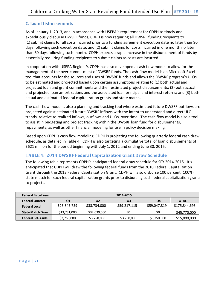# **C. LoanDisbursements**

As of January 1, 2013, and in accordance with USEPA's requirement for CDPH to timely and expeditiously disburse DWSRF funds, CDPH is now requiring all DWSRF funding recipients to (1) submit claims for all costs incurred prior to a funding agreement execution date no later than 90 days following such execution date; and (2) submit claims for costs incurred in one month no later than 60 days following such month. CDPH expects a rapid increase in the disbursement of funds by essentially requiring funding recipients to submit claims as costs are incurred.

In cooperation with USEPA Region 9, CDPH has also developed a cash flow model to allow for the management of the over-commitment of DWSRF funds. The cash-flow model is an Microsoft Excel tool that accounts for the sources and uses of DWSRF funds and allows the DWSRF program's ULOs to be estimated and projected based upon certain assumptions relating to (1) both actual and projected loan and grant commitments and their estimated project disbursements; (2) both actual and projected loan amortizations and the associated loan principal and interest returns; and (3) both actual and estimated federal capitalization grants and state match.

The cash-flow model is also a planning and tracking tool where estimated future DWSRF outflows are projected against estimated future DWSRF inflows with the intent to understand and direct ULO trends, relative to realized inflows, outflows and ULOs, over time. The cash flow model is also a tool to assist in budgeting and project tracking within the DWSRF loan fund for disbursements, repayments, as well as other financial modeling for use in policy decision making.

Based upon CDPH's cash flow modeling, CDPH is projecting the following quarterly federal cash draw schedule, as detailed in Table 4. CDPH is also targeting a cumulative total of loan disbursements of \$621 million for the period beginning with July 1, 2012 and ending June 30, 2015.

## **TABLE 4: 2014 DWSRF Federal CapitalizationGrant Draw Schedule**

The following table represents CDPH's anticipated federal draw schedule for SFY 2014-2015. It's anticipated that CDPH will draw the following federal funds from the 2010 Federal Capitalization Grant through the 2013 Federal Capitalization Grant. CDPH will also disburse 100 percent (100%) state match for such federal capitalization grants prior to disbursing such federal capitalization grants to projects.

| <b>Federal Fiscal Year</b> | 2014-2015            |              |              |              |               |
|----------------------------|----------------------|--------------|--------------|--------------|---------------|
| <b>Federal Quarter</b>     | Q2<br>Q3<br>Q4<br>Q1 |              |              |              | <b>TOTAL</b>  |
| <b>Federal Local</b>       | \$23,845,759         | \$33,734,000 | \$59,217,115 | \$59,047,819 | \$175,844,693 |
| <b>State Match Draw</b>    | \$13,731,000         | \$32,039,000 | \$0          | \$0          | \$45,770,000  |
| <b>Federal Set-Aside</b>   | \$3,750,000          | \$3,750,000  | \$3,750,000  | \$3,750,000  | \$15,000,000  |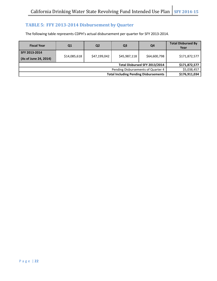# **TABLE 5: FFY 2013-2014 Disbursement by Quarter**

The following table represents CDPH's actual disbursement per quarter for SFY 2013-2014.

| <b>Fiscal Year</b>                           | Q1            | Q <sub>2</sub> | Q <sub>3</sub> | Q4           | <b>Total Disbursed By</b><br>Year |
|----------------------------------------------|---------------|----------------|----------------|--------------|-----------------------------------|
| SFY 2013-2014                                |               |                |                |              |                                   |
| (As of June 24, 2014)                        | \$14,085,618  | \$47,199,042   | \$45,987,118   | \$64,600,798 | \$171,872,577                     |
|                                              | \$171,872,577 |                |                |              |                                   |
| Pending Disbursements of Quarter 4           |               |                |                |              | \$5,038,457                       |
| <b>Total Including Pending Disbursements</b> |               |                |                |              | \$176,911,034                     |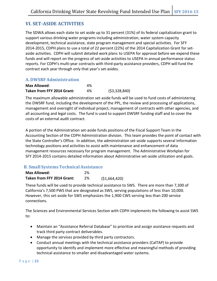# **VI. SET-ASIDE ACTIVITIES**

The SDWA allows each state to set aside up to 31 percent (31%) of its federal capitalization grant to support various drinking water programs including administration, water system capacity development, technical assistance, state program management and special activities. For SFY 2014-2015, CDPH plans to use a total of 22 percent (22%) of the 2014 Capitalization Grant for setaside activities. CDPH will submit detailed work plans to USEPA for approval before we expend these funds and will report on the progress of set-aside activities to USEPA in annual performance status reports. For CDPH's multi-year contracts with third-party assistance providers, CDPH will fund the contract each year through only that year's set-asides.

## **A. DWSRFAdministration**

| <b>Max Allowed:</b>        | 4% |              |
|----------------------------|----|--------------|
| Taken from FFY 2014 Grant: | 4% | (53,328,840) |

The maximum allowable administration set-aside funds will be used to fund costs of administering the DWSRF fund, including the development of the PPL, the review and processing of applications, management and oversight of individual project, management of contracts with other agencies, and all accounting and legal costs. The fund is used to support DWSRF funding staff and to cover the costs of an external audit contract.

A portion of the Administration set-aside funds positions of the Fiscal Support Team in the Accounting Section of the CDPH Administration division. This team provides the point of contact with the State Controller's Office. In addition, the administration set-aside supports several information technology positions and activities to assist with maintenance and enhancement of data management resources necessary for program management. The Administrative Workplan for SFY 2014-2015 contains detailed information about Administrative set-aside utilization and goals.

## **B. Small SystemsTechnicalAssistance**

| <b>Max Allowed:</b>        | 2% |              |
|----------------------------|----|--------------|
| Taken from FFY 2014 Grant: | 2% | (51,664,420) |

These funds will be used to provide technical assistance to SWS. There are more than 7,300 of California's 7,500 PWS that are designated as SWS, serving populations of less than 10,000. However, this set-aside for SWS emphasizes the 1,900 CWS serving less than 200 service connections.

The Sciences and Environmental Services Section with CDPH implements the following to assist SWS to:

- Maintain an "Assistance Referral Database" to prioritize and assign assistance requests and track third party contract deliverables.
- Manage the services provided by third party contractors.
- Conduct annual meetings with the technical assistance providers (CalTAP) to provide opportunity to identify and implement more effective and meaningful methods of providing technical assistance to smaller and disadvantaged water systems.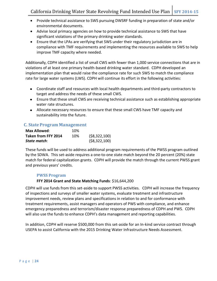- Provide technical assistance to SWS pursuing DWSRF funding in preparation of state and/or environmental documents.
- Advise local primacy agencies on how to provide technical assistance to SWS that have significant violations of the primary drinking water standards.
- Ensure that the LPAs are verifying that SWS under their regulatory jurisdiction are in compliance with TMF requirements and implementing the resources available to SWS to help improve TMF capacity where needed.

Additionally, CDPH identified a list of small CWS with fewer than 1,000 service connections that are in violations of at least one primary health-based drinking water standard. CDPH developed an implementation plan that would raise the compliance rate for such SWS to match the compliance rate for large water systems (LWS). CDPH will continue its effort in the following activities:

- Coordinate staff and resources with local health departments and third-party contractors to target and address the needs of these small CWS.
- Ensure that these small CWS are receiving technical assistance such as establishing appropriate water rate structures.
- Allocate necessary resources to ensure that these small CWS have TMF capacity and sustainability into the future.

## **C. StateProgram Management**

| <b>Max Allowed:</b> | 10% |                |
|---------------------|-----|----------------|
| Taken from FFY 2014 | 10% | ( \$8,322,100) |
| State match:        |     | (58, 322, 100) |

These funds will be used to address additional program requirements of the PWSS program outlined by the SDWA. This set-aside requires a one-to-one state match beyond the 20 percent (20%) state match for federal capitalization grants. CDPH will provide the match through the current PWSS grant and previous years' credits.

### **PWSS Program**

### **FFY 2014 Grant and State Matching Funds**: \$16,644,200

CDPH will use funds from this set-aside to support PWSS activities. CDPH will increase the frequency of inspections and surveys of smaller water systems, evaluate treatment and infrastructure improvement needs, review plans and specifications in relation to and for conformance with treatment requirements, assist managers and operators of PWS with compliance, and enhance emergency preparedness and terrorism/disaster response preparedness of CDPH and PWS. CDPH will also use the funds to enhance CDPH's data management and reporting capabilities.

In addition, CDPH will reserve \$500,000 from this set-aside for an In-kind service contract through USEPA to assist California with the 2015 Drinking Water Infrastructure Needs Assessment.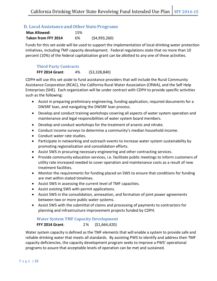## **D. Local AssistanceandOther State Programs**

| <b>Max Allowed:</b> | 15% |              |
|---------------------|-----|--------------|
| Taken from FFY 2014 | 6%  | (54,993,260) |

Funds for this set-aside will be used to support the implementation of local drinking water protection initiatives, including TMF capacity development. Federal regulations state that no more than 10 percent (10%) of the federal capitalization grant can be allotted to any one of these activities.

#### **Third Party Contracts**

**FFY 2014 Grant**: 4% (\$3,328,840)

CDPH will use this set-aside to fund assistance providers that will include the Rural Community Assistance Corporation (RCAC), the California Rural Water Association (CRWA), and the Self Help Enterprises (SHE). Each organization will be under contract with CDPH to provide specific activities such as the following:

- Assist in preparing preliminary engineering, funding application, required documents for a DWSRF loan, and navigating the DWSRF loan process.
- Develop and conduct training workshops covering all aspects of water system operation and maintenance and legal responsibilities of water system board members.
- Develop and conduct workshops for the treatment of arsenic and nitrate.
- Conduct income surveys to determine a community's median household income.
- Conduct water rate studies.
- Participate in networking and outreach events to increase water system sustainability by promoting regionalization and consolidation efforts.
- Assist SWS in procuring necessary engineering and other contracting services.
- Provide community education services, i.e. facilitate public meetings to inform customers of utility rate increased needed to cover operation and maintenance costs as a result of new treatment facilities.
- Monitor the requirements for funding placed on SWS to ensure that conditions for funding are met within stated timelines.
- Assist SWS in assessing the current level of TMF capacities.
- Assist existing SWS with permit applications.
- Assist SWS in the consolidation, annexation, and formation of joint power agreements between two or more public water systems.
- Assist SWS with the submittal of claims and processing of payments to contractors for planning and infrastructure improvement projects funded by CDPH.

#### **Water System TMF Capacity Development**

**FFY 2014 Grant**: 2% (\$1,664,420)

Water system capacity is defined as the TMF elements that will enable a system to provide safe and reliable drinking water that meets all standards. By assisting PWS to identify and address their TMF capacity deficiencies, the capacity development program seeks to improve a PWS' operational programs to assure that acceptable levels of operation can be met and sustained.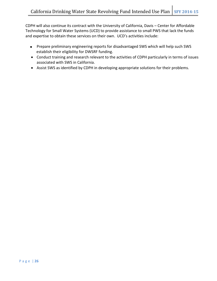CDPH will also continue its contract with the University of California, Davis – Center for Affordable Technology for Small Water Systems (UCD) to provide assistance to small PWS that lack the funds and expertise to obtain these services on their own. UCD's activities include:

- Prepare preliminary engineering reports for disadvantaged SWS which will help such SWS establish their eligibility for DWSRF funding.
- Conduct training and research relevant to the activities of CDPH particularly in terms of issues associated with SWS in California.
- Assist SWS as identified by CDPH in developing appropriate solutions for their problems.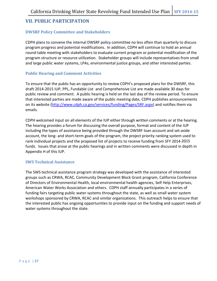# **VII. PUBLIC PARTICIPATION**

## **DWSRF Policy Committee and Stakeholders**

CDPH plans to convene the internal DWSRF policy committee no less often than quarterly to discuss program progress and potential modifications. In addition, CDPH will continue to hold an annual round-table meeting with stakeholders to evaluate current program or potential modification of the program structure or resource utilization. Stakeholder groups will include representatives from small and large public water systems, LPAs, environmental justice groups, and other interested parties.

## **Public Hearing and Comment Activities**

To ensure that the public has an opportunity to review CDPH's proposed plans for the DWSRF, this draft 2014-2015 IUP, PPL, Fundable List and Comprehensive List are made available 30 days for public review and comment. A public hearing is held on the last day of the review period. To ensure that interested parties are made aware of the public meeting date, CDPH publishes announcements on its website [\(http://www.cdph.ca.gov/services/funding/Pages/SRF.aspx\)](http://www.cdph.ca.gov/services/funding/Pages/SRF.aspx) and notifies them via emails.

CDPH welcomed input on all elements of the IUP either through written comments or at the hearing. The hearing provides a forum for discussing the overall purpose, format and content of the IUP including the types of assistance being provided through the DWSRF loan account and set-aside account, the long- and short-term goals of the program, the project priority ranking system used to rank individual projects and the proposed list of projects to receive funding from SFY 2014-2015 funds. Issues that arose at the public hearings and in written comments were discussed in depth in Appendix H of this IUP.

### **SWS Technical Assistance**

The SWS technical assistance program strategy was developed with the assistance of interested groups such as CRWA, RCAC, Community Development Block Grant program, California Conference of Directors of Environmental Health, local environmental health agencies, Self Help Enterprises, American Water Works Association and others. CDPH staff annually participates in a series of funding fairs targeting public water systems throughout the state, as well as small water system workshops sponsored by CRWA, RCAC and similar organizations. This outreach helps to ensure that the interested public has ongoing opportunities to provide input on the funding and support needs of water systems throughout the state.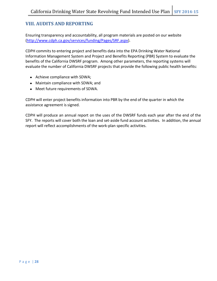# **VIII. AUDITS AND REPORTING**

Ensuring transparency and accountability, all program materials are posted on our website [\(http://www.cdph.ca.gov/services/funding/Pages/SRF.aspx\).](http://www.cdph.ca.gov/services/funding/Pages/SRF.aspx)

CDPH commits to entering project and benefits data into the EPA Drinking Water National Information Management System and Project and Benefits Reporting (PBR) System to evaluate the benefits of the California DWSRF program. Among other parameters, the reporting systems will evaluate the number of California DWSRF projects that provide the following public health benefits:

- Achieve compliance with SDWA;
- Maintain compliance with SDWA; and
- Meet future requirements of SDWA.

CDPH will enter project benefits information into PBR by the end of the quarter in which the assistance agreement is signed.

CDPH will produce an annual report on the uses of the DWSRF funds each year after the end of the SFY. The reports will cover both the loan and set-aside fund account activities. In addition, the annual report will reflect accomplishments of the work-plan specific activities.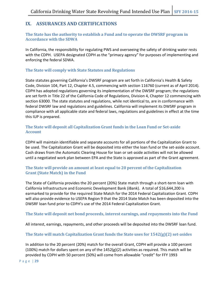# **IX. ASSURANCES AND CERTIFICATIONS**

### **The State has the authority to establish a Fund and to operate the DWSRF program in Accordance with the SDWA**

In California, the responsibility for regulating PWS and overseeing the safety of drinking water rests with the CDPH. USEPA designated CDPH as the "primacy agency" for purposes of implementing and enforcing the federal SDWA.

### **The State will comply with State Statutes and Regulations**

State statutes governing California's DWSRF program are set forth in California's Health & Safety Code, Division 104, Part 12, Chapter 4.5, commencing with section 116760 (current as of April 2014). CDPH has adopted regulations governing its implementation of the DWSRF program; the regulations are set forth in Title 22 of the California Code of Regulations, Division 4, Chapter 12 commencing with section 63000. The state statutes and regulations, while not identical to, are in conformance with federal DWSRF law and regulations and guidelines. California will implement its DWSRF program in compliance with all applicable state and federal laws, regulations and guidelines in effect at the time this IUP is prepared.

## **The State will deposit all Capitalization Grant funds in the Loan Fund or Set-aside Account**

CDPH will maintain identifiable and separate accounts for all portions of the Capitalization Grant to be used. The Capitalization Grant will be deposited into either the loan fund or the set-aside account. Cash draws from the Automatic Clearing House for loan or set-aside activities will not be allowed until a negotiated work plan between EPA and the State is approved as part of the Grant agreement.

## **The State will provide an amount at least equal to 20 percent of the Capitalization Grant (State Match) in the Fund**

The State of California provides the 20 percent (20%) State match through a short-term loan with California Infrastructure and Economic Development Bank (iBank). A total of \$16,644,200 is earmarked to provide for the required State Match for the 2014 Federal Capitalization Grant. CDPH will also provide evidence to USEPA Region 9 that the 2014 State Match has been deposited into the DWSRF loan fund prior to CDPH's use of the 2014 Federal Capitalization Grant.

## **The State will deposit net bond proceeds, interest earnings, and repayments into the Fund**

All interest, earnings, repayments, and other proceeds will be deposited into the DWSRF loan fund.

### **The State will match Capitalization Grant funds the State uses for 1542(g)(2) set-asides**

In addition to the 20 percent (20%) match for the overall Grant, CDPH will provide a 100 percent (100%) match for dollars spent on any of the  $1452(g)(2)$  activities as required. This match will be provided by CDPH with 50 percent (50%) will come from allowable "credit" for FFY 1993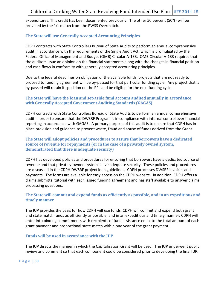expenditures. This credit has been documented previously. The other 50 percent (50%) will be provided by the 1:1 match from the PWSS Overmatch.

## **The State will use Generally Accepted Accounting Principles**

CDPH contracts with State Controllers Bureau of State Audits to perform an annual comprehensive audit in accordance with the requirements of the Single Audit Act, which is promulgated by the Federal Office of Management and Budget (OMB) Circular A-133. OMB Circular A-133 requires that the auditors issue an opinion on the financial statements along with the changes in financial position and cash flows in conformity with generally accepted accounting principles.

Due to the federal deadlines on obligation of the available funds, projects that are not ready to proceed to funding agreement will be by-passed for that particular funding cycle. Any project that is by-passed will retain its position on the PPL and be eligible for the next funding cycle.

### **The State will have the loan and set-aside fund account audited annually in accordance with Generally Accepted Government Auditing Standards (GAGAS)**

CDPH contracts with State Controllers Bureau of State Audits to perform an annual comprehensive audit in order to ensure that the DWSRF Program is in compliance with internal control over financial reporting in accordance with GAGAS. A primary purpose of this audit is to ensure that CDPH has in place provision and guidance to prevent waste, fraud and abuse of funds derived from the Grant.

### **The State will adopt policies and procedures to assure that borrowers have a dedicated source of revenue for repayments (or in the case of a privately owned system, demonstrated that there is adequate security)**

CDPH has developed policies and procedures for ensuring that borrowers have a dedicated source of revenue and that privately-owned systems have adequate security. These policies and procedures are discussed in the CDPH DWSRF project loan guidelines. CDPH processes DWSRF invoices and payments. The forms are available for easy access on the CDPH website. In addition, CDPH offers a claims submittal tutorial with each issued funding agreement and has staff available to answer claims processing questions.

## **The State will commit and expend funds as efficiently as possible, and in an expeditious and timely manner**

The IUP provides the basis for how CDPH will use funds. CDPH will commit and expend both grant and state match funds as efficiently as possible, and in an expeditious and timely manner. CDPH will enter into binding commitments with recipients of fund assistance equal to the total amount of each grant payment and proportional state match within one year of the grant payment.

### **Funds will be used in accordance with the IUP**

The IUP directs the manner in which the Capitalization Grant will be used. The IUP underwent public review and comment so that each component could be considered prior to developing the final IUP.